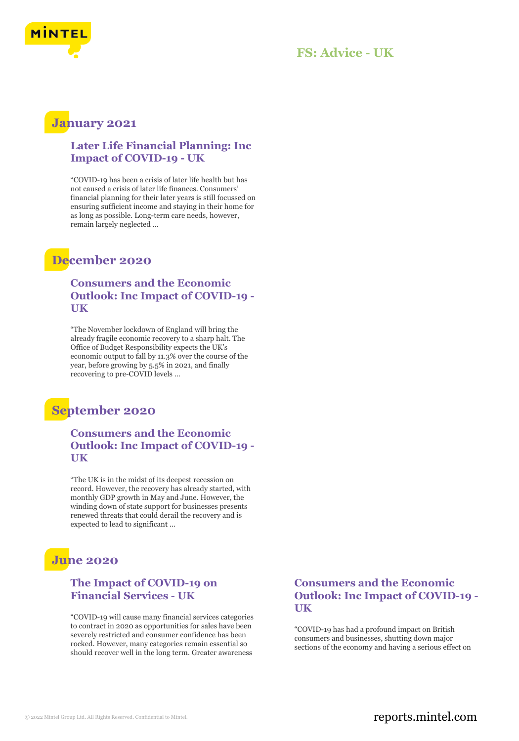

#### **FS: Advice - UK**

## **January 2021**

#### **Later Life Financial Planning: Inc Impact of COVID-19 - UK**

"COVID-19 has been a crisis of later life health but has not caused a crisis of later life finances. Consumers' financial planning for their later years is still focussed on ensuring sufficient income and staying in their home for as long as possible. Long-term care needs, however, remain largely neglected ...

## **December 2020**

#### **Consumers and the Economic Outlook: Inc Impact of COVID-19 - UK**

"The November lockdown of England will bring the already fragile economic recovery to a sharp halt. The Office of Budget Responsibility expects the UK's economic output to fall by 11.3% over the course of the year, before growing by 5.5% in 2021, and finally recovering to pre-COVID levels ...

## **September 2020**

#### **Consumers and the Economic Outlook: Inc Impact of COVID-19 - UK**

"The UK is in the midst of its deepest recession on record. However, the recovery has already started, with monthly GDP growth in May and June. However, the winding down of state support for businesses presents renewed threats that could derail the recovery and is expected to lead to significant ...

## **June 2020**

#### **The Impact of COVID-19 on Financial Services - UK**

"COVID-19 will cause many financial services categories to contract in 2020 as opportunities for sales have been severely restricted and consumer confidence has been rocked. However, many categories remain essential so should recover well in the long term. Greater awareness

#### **Consumers and the Economic Outlook: Inc Impact of COVID-19 - UK**

"COVID-19 has had a profound impact on British consumers and businesses, shutting down major sections of the economy and having a serious effect on

#### © 2022 Mintel Group Ltd. All Rights Reserved. Confidential to Mintel.  $\blacksquare$  reports.mintel.com